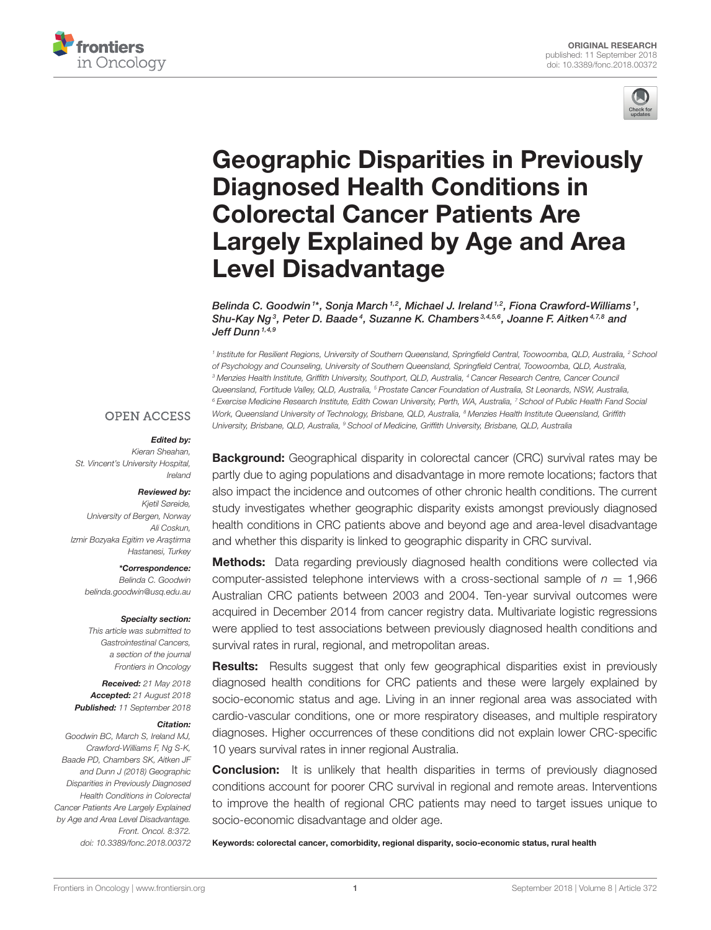



# [Geographic Disparities in Previously](https://www.frontiersin.org/articles/10.3389/fonc.2018.00372/full) Diagnosed Health Conditions in Colorectal Cancer Patients Are Largely Explained by Age and Area Level Disadvantage

[Belinda C. Goodwin](http://loop.frontiersin.org/people/491396/overview)  $i^*$ , [Sonja March](http://loop.frontiersin.org/people/547924/overview)  $^{1,2}$ , [Michael J. Ireland](http://loop.frontiersin.org/people/456135/overview)  $^{1,2}$ , [Fiona Crawford-Williams](http://loop.frontiersin.org/people/476259/overview)  $^1$ , Shu-Kay Ng $^3$ , [Peter D. Baade](http://loop.frontiersin.org/people/260755/overview) $^4$ , [Suzanne K. Chambers](http://loop.frontiersin.org/people/141530/overview) $^{\mathfrak{3},4,5,6},$  Joanne F. Aitken $^{\mathfrak{4},7,8}$  and Jeff Dunn<sup> $1,4,9$ </sup>

*1 Institute for Resilient Regions, University of Southern Queensland, Springfield Central, Toowoomba, QLD, Australia, <sup>2</sup> School of Psychology and Counseling, University of Southern Queensland, Springfield Central, Toowoomba, QLD, Australia, <sup>3</sup> Menzies Health Institute, Griffith University, Southport, QLD, Australia, <sup>4</sup> Cancer Research Centre, Cancer Council Queensland, Fortitude Valley, QLD, Australia, <sup>5</sup> Prostate Cancer Foundation of Australia, St Leonards, NSW, Australia, <sup>6</sup> Exercise Medicine Research Institute, Edith Cowan University, Perth, WA, Australia, <sup>7</sup> School of Public Health Fand Social Work, Queensland University of Technology, Brisbane, QLD, Australia, <sup>8</sup> Menzies Health Institute Queensland, Griffith University, Brisbane, QLD, Australia, <sup>9</sup> School of Medicine, Griffith University, Brisbane, QLD, Australia*

#### **OPEN ACCESS**

#### Edited by:

*Kieran Sheahan, St. Vincent's University Hospital, Ireland*

#### Reviewed by:

*Kjetil Søreide, University of Bergen, Norway Ali Coskun, Izmir Bozyaka Egitim ve Araştirma Hastanesi, Turkey*

#### \*Correspondence:

*Belinda C. Goodwin [belinda.goodwin@usq.edu.au](mailto:belinda.goodwin@usq.edu.au)*

#### Specialty section:

*This article was submitted to Gastrointestinal Cancers, a section of the journal Frontiers in Oncology*

Received: *21 May 2018* Accepted: *21 August 2018* Published: *11 September 2018*

#### Citation:

*Goodwin BC, March S, Ireland MJ, Crawford-Williams F, Ng S-K, Baade PD, Chambers SK, Aitken JF and Dunn J (2018) Geographic Disparities in Previously Diagnosed Health Conditions in Colorectal Cancer Patients Are Largely Explained by Age and Area Level Disadvantage. Front. Oncol. 8:372. doi: [10.3389/fonc.2018.00372](https://doi.org/10.3389/fonc.2018.00372)*

**Background:** Geographical disparity in colorectal cancer (CRC) survival rates may be partly due to aging populations and disadvantage in more remote locations; factors that also impact the incidence and outcomes of other chronic health conditions. The current study investigates whether geographic disparity exists amongst previously diagnosed health conditions in CRC patients above and beyond age and area-level disadvantage and whether this disparity is linked to geographic disparity in CRC survival.

**Methods:** Data regarding previously diagnosed health conditions were collected via computer-assisted telephone interviews with a cross-sectional sample of *n* = 1,966 Australian CRC patients between 2003 and 2004. Ten-year survival outcomes were acquired in December 2014 from cancer registry data. Multivariate logistic regressions were applied to test associations between previously diagnosed health conditions and survival rates in rural, regional, and metropolitan areas.

**Results:** Results suggest that only few geographical disparities exist in previously diagnosed health conditions for CRC patients and these were largely explained by socio-economic status and age. Living in an inner regional area was associated with cardio-vascular conditions, one or more respiratory diseases, and multiple respiratory diagnoses. Higher occurrences of these conditions did not explain lower CRC-specific 10 years survival rates in inner regional Australia.

**Conclusion:** It is unlikely that health disparities in terms of previously diagnosed conditions account for poorer CRC survival in regional and remote areas. Interventions to improve the health of regional CRC patients may need to target issues unique to socio-economic disadvantage and older age.

Keywords: colorectal cancer, comorbidity, regional disparity, socio-economic status, rural health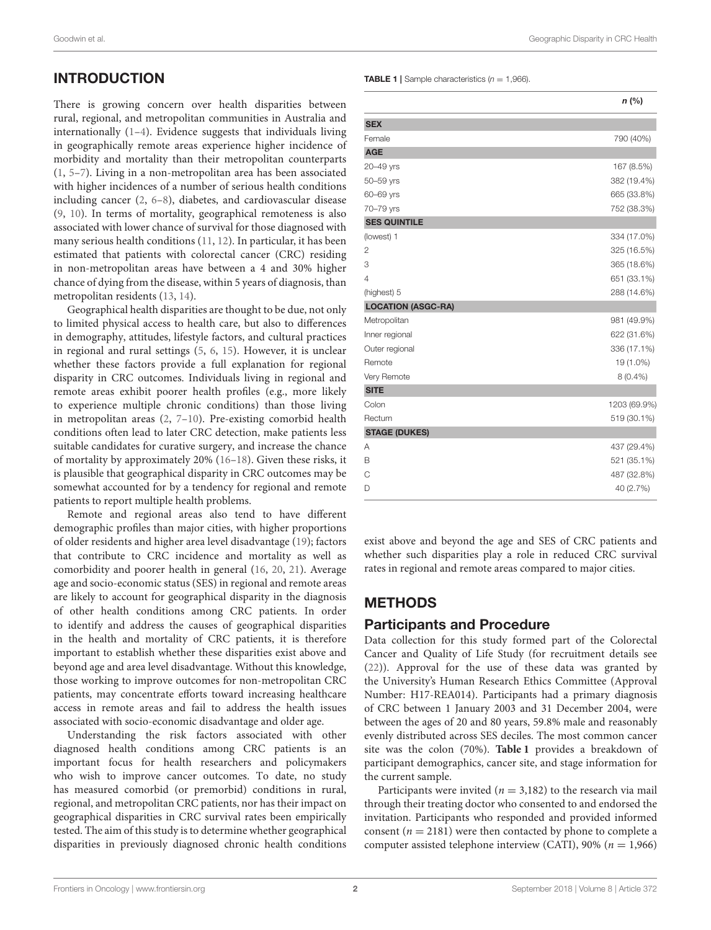# INTRODUCTION

There is growing concern over health disparities between rural, regional, and metropolitan communities in Australia and internationally [\(1–](#page-8-0)[4\)](#page-8-1). Evidence suggests that individuals living in geographically remote areas experience higher incidence of morbidity and mortality than their metropolitan counterparts [\(1,](#page-8-0) [5](#page-8-2)[–7\)](#page-8-3). Living in a non-metropolitan area has been associated with higher incidences of a number of serious health conditions including cancer [\(2,](#page-8-4) [6](#page-8-5)[–8\)](#page-8-6), diabetes, and cardiovascular disease [\(9,](#page-8-7) [10\)](#page-8-8). In terms of mortality, geographical remoteness is also associated with lower chance of survival for those diagnosed with many serious health conditions [\(11,](#page-8-9) [12\)](#page-8-10). In particular, it has been estimated that patients with colorectal cancer (CRC) residing in non-metropolitan areas have between a 4 and 30% higher chance of dying from the disease, within 5 years of diagnosis, than metropolitan residents [\(13,](#page-8-11) [14\)](#page-8-12).

Geographical health disparities are thought to be due, not only to limited physical access to health care, but also to differences in demography, attitudes, lifestyle factors, and cultural practices in regional and rural settings [\(5,](#page-8-2) [6,](#page-8-5) [15\)](#page-8-13). However, it is unclear whether these factors provide a full explanation for regional disparity in CRC outcomes. Individuals living in regional and remote areas exhibit poorer health profiles (e.g., more likely to experience multiple chronic conditions) than those living in metropolitan areas [\(2,](#page-8-4) [7](#page-8-3)[–10\)](#page-8-8). Pre-existing comorbid health conditions often lead to later CRC detection, make patients less suitable candidates for curative surgery, and increase the chance of mortality by approximately 20% [\(16](#page-8-14)[–18\)](#page-8-15). Given these risks, it is plausible that geographical disparity in CRC outcomes may be somewhat accounted for by a tendency for regional and remote patients to report multiple health problems.

Remote and regional areas also tend to have different demographic profiles than major cities, with higher proportions of older residents and higher area level disadvantage [\(19\)](#page-8-16); factors that contribute to CRC incidence and mortality as well as comorbidity and poorer health in general [\(16,](#page-8-14) [20,](#page-8-17) [21\)](#page-8-18). Average age and socio-economic status (SES) in regional and remote areas are likely to account for geographical disparity in the diagnosis of other health conditions among CRC patients. In order to identify and address the causes of geographical disparities in the health and mortality of CRC patients, it is therefore important to establish whether these disparities exist above and beyond age and area level disadvantage. Without this knowledge, those working to improve outcomes for non-metropolitan CRC patients, may concentrate efforts toward increasing healthcare access in remote areas and fail to address the health issues associated with socio-economic disadvantage and older age.

Understanding the risk factors associated with other diagnosed health conditions among CRC patients is an important focus for health researchers and policymakers who wish to improve cancer outcomes. To date, no study has measured comorbid (or premorbid) conditions in rural, regional, and metropolitan CRC patients, nor has their impact on geographical disparities in CRC survival rates been empirically tested. The aim of this study is to determine whether geographical disparities in previously diagnosed chronic health conditions <span id="page-1-0"></span>**TABLE 1** | Sample characteristics  $(n = 1,966)$ .

|                           | $n$ (%)      |
|---------------------------|--------------|
| <b>SEX</b>                |              |
| Female                    | 790 (40%)    |
| <b>AGE</b>                |              |
| 20-49 yrs                 | 167 (8.5%)   |
| 50-59 yrs                 | 382 (19.4%)  |
| 60-69 yrs                 | 665 (33.8%)  |
| 70-79 yrs                 | 752 (38.3%)  |
| <b>SES QUINTILE</b>       |              |
| (lowest) 1                | 334 (17.0%)  |
| 2                         | 325 (16.5%)  |
| 3                         | 365 (18.6%)  |
| $\overline{4}$            | 651 (33.1%)  |
| (highest) 5               | 288 (14.6%)  |
| <b>LOCATION (ASGC-RA)</b> |              |
| Metropolitan              | 981 (49.9%)  |
| Inner regional            | 622 (31.6%)  |
| Outer regional            | 336 (17.1%)  |
| Remote                    | 19 (1.0%)    |
| Very Remote               | 8 (0.4%)     |
| <b>SITE</b>               |              |
| Colon                     | 1203 (69.9%) |
| Rectum                    | 519 (30.1%)  |
| <b>STAGE (DUKES)</b>      |              |
| Α                         | 437 (29.4%)  |
| B                         | 521 (35.1%)  |
| C                         | 487 (32.8%)  |
| D                         | 40 (2.7%)    |

exist above and beyond the age and SES of CRC patients and whether such disparities play a role in reduced CRC survival rates in regional and remote areas compared to major cities.

### **METHODS**

### Participants and Procedure

Data collection for this study formed part of the Colorectal Cancer and Quality of Life Study (for recruitment details see [\(22\)](#page-8-19)). Approval for the use of these data was granted by the University's Human Research Ethics Committee (Approval Number: H17-REA014). Participants had a primary diagnosis of CRC between 1 January 2003 and 31 December 2004, were between the ages of 20 and 80 years, 59.8% male and reasonably evenly distributed across SES deciles. The most common cancer site was the colon (70%). **[Table 1](#page-1-0)** provides a breakdown of participant demographics, cancer site, and stage information for the current sample.

Participants were invited ( $n = 3,182$ ) to the research via mail through their treating doctor who consented to and endorsed the invitation. Participants who responded and provided informed consent ( $n = 2181$ ) were then contacted by phone to complete a computer assisted telephone interview (CATI), 90% ( $n = 1,966$ )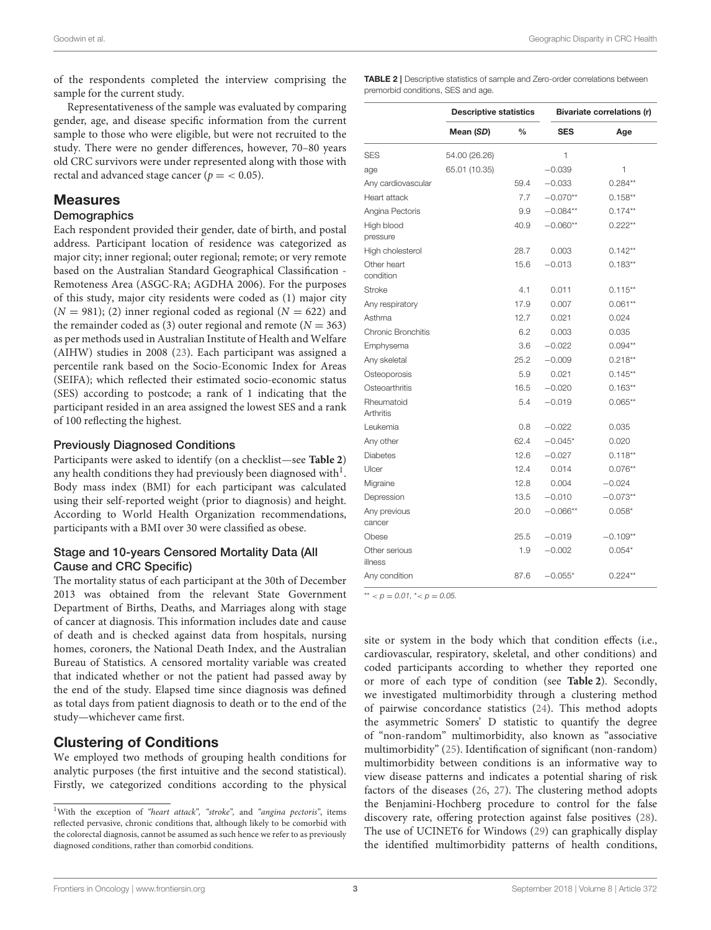of the respondents completed the interview comprising the sample for the current study.

Representativeness of the sample was evaluated by comparing gender, age, and disease specific information from the current sample to those who were eligible, but were not recruited to the study. There were no gender differences, however, 70–80 years old CRC survivors were under represented along with those with rectal and advanced stage cancer ( $p = < 0.05$ ).

#### **Measures**

#### **Demographics**

Each respondent provided their gender, date of birth, and postal address. Participant location of residence was categorized as major city; inner regional; outer regional; remote; or very remote based on the Australian Standard Geographical Classification - Remoteness Area (ASGC-RA; AGDHA 2006). For the purposes of this study, major city residents were coded as (1) major city  $(N = 981)$ ; (2) inner regional coded as regional  $(N = 622)$  and the remainder coded as (3) outer regional and remote ( $N = 363$ ) as per methods used in Australian Institute of Health and Welfare (AIHW) studies in 2008 [\(23\)](#page-8-20). Each participant was assigned a percentile rank based on the Socio-Economic Index for Areas (SEIFA); which reflected their estimated socio-economic status (SES) according to postcode; a rank of 1 indicating that the participant resided in an area assigned the lowest SES and a rank of 100 reflecting the highest.

#### Previously Diagnosed Conditions

Participants were asked to identify (on a checklist—see **[Table 2](#page-2-0)**) any health conditions they had previously been diagnosed with $^{\rm l}$  . Body mass index (BMI) for each participant was calculated using their self-reported weight (prior to diagnosis) and height. According to World Health Organization recommendations, participants with a BMI over 30 were classified as obese.

#### Stage and 10-years Censored Mortality Data (All Cause and CRC Specific)

The mortality status of each participant at the 30th of December 2013 was obtained from the relevant State Government Department of Births, Deaths, and Marriages along with stage of cancer at diagnosis. This information includes date and cause of death and is checked against data from hospitals, nursing homes, coroners, the National Death Index, and the Australian Bureau of Statistics. A censored mortality variable was created that indicated whether or not the patient had passed away by the end of the study. Elapsed time since diagnosis was defined as total days from patient diagnosis to death or to the end of the study—whichever came first.

### Clustering of Conditions

We employed two methods of grouping health conditions for analytic purposes (the first intuitive and the second statistical). Firstly, we categorized conditions according to the physical

<span id="page-2-0"></span>

| <b>TABLE 2</b>   Descriptive statistics of sample and Zero-order correlations between |
|---------------------------------------------------------------------------------------|
| premorbid conditions, SES and age.                                                    |

|                           | <b>Descriptive statistics</b> |               |            | Bivariate correlations (r) |
|---------------------------|-------------------------------|---------------|------------|----------------------------|
|                           | Mean (SD)                     | $\frac{0}{0}$ | <b>SES</b> | Age                        |
| <b>SES</b>                | 54.00 (26.26)                 |               | 1          |                            |
| age                       | 65.01 (10.35)                 |               | $-0.039$   | 1                          |
| Any cardiovascular        |                               | 59.4          | $-0.033$   | $0.284**$                  |
| Heart attack              |                               | 7.7           | $-0.070**$ | $0.158**$                  |
| Angina Pectoris           |                               | 9.9           | $-0.084**$ | $0.174**$                  |
| High blood<br>pressure    |                               | 40.9          | $-0.060**$ | $0.222**$                  |
| High cholesterol          |                               | 28.7          | 0.003      | $0.142**$                  |
| Other heart<br>condition  |                               | 15.6          | $-0.013$   | $0.183**$                  |
| <b>Stroke</b>             |                               | 4.1           | 0.011      | $0.115**$                  |
| Any respiratory           |                               | 17.9          | 0.007      | $0.061**$                  |
| Asthma                    |                               | 12.7          | 0.021      | 0.024                      |
| <b>Chronic Bronchitis</b> |                               | 6.2           | 0.003      | 0.035                      |
| Emphysema                 |                               | 3.6           | $-0.022$   | $0.094**$                  |
| Any skeletal              |                               | 25.2          | $-0.009$   | $0.218**$                  |
| Osteoporosis              |                               | 5.9           | 0.021      | $0.145**$                  |
| Osteoarthritis            |                               | 16.5          | $-0.020$   | $0.163**$                  |
| Rheumatoid<br>Arthritis   |                               | 5.4           | $-0.019$   | $0.065**$                  |
| Leukemia                  |                               | 0.8           | $-0.022$   | 0.035                      |
| Any other                 |                               | 62.4          | $-0.045*$  | 0.020                      |
| <b>Diabetes</b>           |                               | 12.6          | $-0.027$   | $0.118**$                  |
| Ulcer                     |                               | 12.4          | 0.014      | $0.076**$                  |
| Migraine                  |                               | 12.8          | 0.004      | $-0.024$                   |
| Depression                |                               | 13.5          | $-0.010$   | $-0.073**$                 |
| Any previous<br>cancer    |                               | 20.0          | $-0.066**$ | $0.058*$                   |
| Obese                     |                               | 25.5          | $-0.019$   | $-0.109**$                 |
| Other serious<br>illness  |                               | 1.9           | $-0.002$   | $0.054*$                   |
| Any condition             |                               | 87.6          | $-0.055*$  | $0.224**$                  |

 $^{\star\star}$  <  $p = 0.01$ ,  $^{\star}$  <  $p = 0.05$ .

site or system in the body which that condition effects (i.e., cardiovascular, respiratory, skeletal, and other conditions) and coded participants according to whether they reported one or more of each type of condition (see **[Table 2](#page-2-0)**). Secondly, we investigated multimorbidity through a clustering method of pairwise concordance statistics [\(24\)](#page-8-21). This method adopts the asymmetric Somers' D statistic to quantify the degree of "non-random" multimorbidity, also known as "associative multimorbidity" [\(25\)](#page-8-22). Identification of significant (non-random) multimorbidity between conditions is an informative way to view disease patterns and indicates a potential sharing of risk factors of the diseases [\(26,](#page-8-23) [27\)](#page-8-24). The clustering method adopts the Benjamini-Hochberg procedure to control for the false discovery rate, offering protection against false positives [\(28\)](#page-8-25). The use of UCINET6 for Windows [\(29\)](#page-8-26) can graphically display the identified multimorbidity patterns of health conditions,

<span id="page-2-1"></span><sup>&</sup>lt;sup>1</sup>With the exception of "heart attack", "stroke", and "angina pectoris", items reflected pervasive, chronic conditions that, although likely to be comorbid with the colorectal diagnosis, cannot be assumed as such hence we refer to as previously diagnosed conditions, rather than comorbid conditions.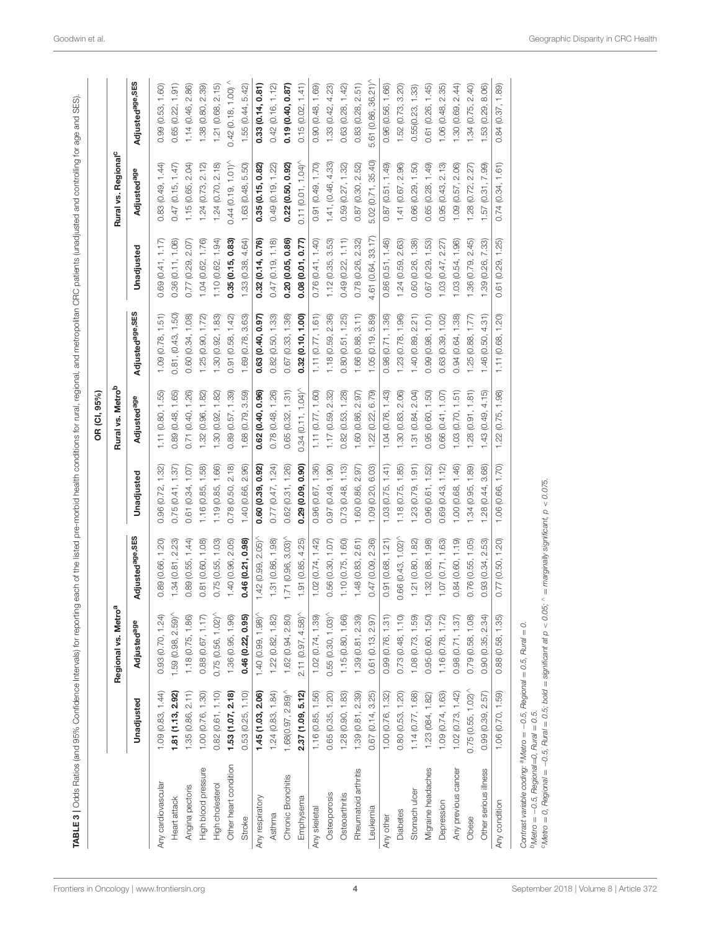|                                                                                                                                                                                                                                                      |                             |                                                                                               |                          |                      | OR (CI, 95%)                     |                                   |                        |                                 |                         |
|------------------------------------------------------------------------------------------------------------------------------------------------------------------------------------------------------------------------------------------------------|-----------------------------|-----------------------------------------------------------------------------------------------|--------------------------|----------------------|----------------------------------|-----------------------------------|------------------------|---------------------------------|-------------------------|
|                                                                                                                                                                                                                                                      |                             | ზ<br>ი<br>Regional vs. Met                                                                    |                          |                      | Rural vs. Metro <sup>b</sup>     |                                   |                        | Rural vs. Regional <sup>c</sup> |                         |
|                                                                                                                                                                                                                                                      | Unadjusted                  | Adjustedage                                                                                   | Adjustedage, SES         | Unadjusted           | Adjustedage                      | Adjustedage, SES                  | Unadjusted             | Adjustedage                     | Adjustedage, SES        |
| Any cardiovascular                                                                                                                                                                                                                                   | 1.09(0.83, 1.44)            | 0.93 (0.70, 1.24)                                                                             | 0.89 (0.66, 1.20)        | 0.96(0.72, 1.32)     | (0.80, 1.55)<br>$\overline{11}$  | 1.09(0.78, 1.51)                  | , 1.17<br>0.69(0.41,   | 0.83(0.49, 1.44)                | 1.60<br>0.99 (0.53,     |
| Heart attack                                                                                                                                                                                                                                         | 1.81 (1.13, 2.92)           | $\,<\,$<br>1.59 (0.98, 2.59)                                                                  | 2.23<br>1.34(0.81,       | 0.75(0.41, 1.37)     | 1.65)<br>(0.48,<br>0.89          | 0.81, (0.43, 1.50)                | 0.36(0.11, 1.06)       | 1.47<br>0.47(0.15,              | 0.65(0.22, 1.91)        |
| Angina pectoris                                                                                                                                                                                                                                      | 1.35 (0.86, 2.11)           |                                                                                               | 0.89 (0.55, 1.44)        | 0.61 (0.34, 1.07)    | 0.71(0.40, 1.26)                 | (0.34, 1.08)<br>0.60(             | 2.07<br>0.77 (0.29,    | 1.15 (0.65, 2.04)               | 1.14 (0.46, 2.86)       |
| High blood pressure                                                                                                                                                                                                                                  | 1.00(0.76, 1.30)            | $1.18(0.75, 1.86)$ $0.88(0.67, 1.17)$                                                         | 0.81 (0.60, 1.08)        | 1.16 (0.85, 1.58)    | 1.32 (0.96, 1.82)                | 1.25 (0.90, 1.72)                 | 1.04 (0.62, 1.76)      | 1.24(0.73, 2.12)                | 1.38 (0.80, 2.39)       |
| High cholesterol                                                                                                                                                                                                                                     | 0.82(0.61, 1.10)            | $\,<\,$<br>0.75(0.56, 1.02)                                                                   | 0.75 (0.55, 1.03)        | 1.19 (0.85, 1.66)    | 1.30(0.92, 1.82)                 | 1.30 (0.92, 1.83)                 | 1.10 (0.62, 1.94)      | 1.24(0.70, 2.18)                | 1.21 (0.68, 2.15)       |
| Other heart condition                                                                                                                                                                                                                                | 1.53 (1.07, 2.18)           |                                                                                               | 1.40 (0.96, 2.05)        | 0.78(0.50, 2.18)     | 0.89(0.57, 1.39)                 | 1.42<br>(0.58,<br>0.91            | 0.83)<br>0.35 (0.15,   | 0.44(0.19, 1.01)                | 0.42(0.18, 1.00)        |
| Stroke                                                                                                                                                                                                                                               | 0.53(0.25, 1.10)            | 1.36 (0.95, 1.96)<br><b>0.46 (0.22, 0.95)</b><br>1.40 (0.99, 1.98)^                           | 0.46 (0.21, 0.98)        | 2.96<br>1.40 (0.66,  | 3.59<br>1 (0.79,<br>1.68         | 3.63<br>(0.78,<br>1.69            | 4.64)<br>1.33 (0.38,   | 5.50)<br>1.63 (0.48,            | 5.42)<br>1.55 (0.44,    |
| Any respiratory                                                                                                                                                                                                                                      | 1.45 (1.03, 2.06)           | 1.40 (0.99, 1.98)                                                                             | 1.42(0.99, 2.05)         | 0.60 (0.39, 0.92)    | 0.62 (0.40, 0.96)                | 0.97<br>0.63 (0.40,               | 0.32 (0.14, 0.76)      | 0.35 (0.15, 0.82)               | 0.33(0.14, 0.81)        |
| Asthma                                                                                                                                                                                                                                               | 1.24(0.83, 1.84)            |                                                                                               | 1.31 (0.86, 1.98)        | 0.77(0.47, 1.24)     | 0.78(0.48, 1.26)                 | 0.82(0.50, 1.33)                  | 0.47(0.19, 1.18)       | 0.49(0.19, 1.22)                | 0.42(0.16, 1.12)        |
| Chronic Bronchitis                                                                                                                                                                                                                                   | $1.68(0.97, 2.89)^{\wedge}$ |                                                                                               | 1.71(0.96, 3.03)         | 0.62(0.31, 1.26)     | 0.65(0.32, 1.31)                 | 0.67(0.33, 1.36)                  | 0.20 (0.05, 0.86)      | 0.22(0.50, 0.92)                | 0.19 (0.40, 0.87)       |
| Emphysema                                                                                                                                                                                                                                            | 2.37 (1.09, 5.12)           | $1.22 (0.82, 1.82)$<br>$1.62 (0.94, 2.80)$<br>$2.11 (0.97, 4.58)^\wedge$<br>2.11 (0.97, 4.58) | 4.25<br>1.91 (0.85,      | 0.29 (0.09, 0.90)    | 0.34(0.11, 1.04)                 | 1.00<br>0.32(0.10,                | $0.08$ $(0.01, 0.77)$  | $0.11(0.01, 1.04)^{6}$          | 1,41<br>0.15(0.02,      |
| Any skeletal                                                                                                                                                                                                                                         | 1.16 (0.85, 1.56)           | 1.02(0.74, 1.39)                                                                              | 1.02(0.74, 1.42)         | 0.96 (0.67, 1.36)    | 1.11(0.77, 1.60)                 | 1.11 (0.77, 1.61)                 | 0.76(0.41, 1.40)       | 1.70<br>0.91 (0.49,             | 0.90 (0.48, 1.69)       |
| Osteoporosis                                                                                                                                                                                                                                         | 0.65(0.35, 1.20)            | $\,<\,$<br>0.55(0.30, 1.03)                                                                   | 0.56(0.30, 1.07)         | 0.97 (0.49, 1.90)    | 1.17 (0.59, 2.32)                | 1.18 (0.59, 2.36)                 | 1.12 (0.35, 3.53)      | 1.41, (0.46, 4.33)              | 1.33 (0.42, 4.23)       |
| Osteoarthritis                                                                                                                                                                                                                                       | 1.28 (0.90, 1.83)           | 1.15 (0.80, 1.66)                                                                             | 1.10(0.75, 1.60)         | 0.73(0.48, 1.13)     | 0.82(0.53, 1.28)                 | 0.80(0.51, 1.25)                  | 0.49(0.22, 1.11)       | 0.59(0.27, 1.32)                | 0.63(0.28, 1.42)        |
| Rheumatoid arthritis                                                                                                                                                                                                                                 | 1.39 (0.81, 2.39)           | 1.39 (0.81, 2.39)                                                                             | 1.48 (0.83, 2.61)        | 1.60 (0.86, 2.97)    | 2.97<br>1.60 (0.86,              | 1.66 (0.88, 3.11)                 | 0.78 (0.26, 2.32)      | 0.87 (0.30, 2.52)               | 0.83(0.28, 2.51)        |
| Leukemia                                                                                                                                                                                                                                             | 0.67 (0.14, 3.25)           | 0.61 (0.13, 2.97                                                                              | 2.36)<br>0.47(0.09,      | 6.03)<br>1.09 (0.20) | 6.79)<br>(0.22,<br>1.22          | 5.89)<br>(0.19,<br>1.05           | 33.17)<br>4.61 (0.64,  | 5.02 (0.71, 35.40)              | , 36.21<br>5.61 (0.86,  |
| Any other                                                                                                                                                                                                                                            | 1.00 (0.76, 1.32)           | 0.99 (0.76, 1.31                                                                              | 0.91 (0.68, 1.21)        | 1.03 (0.75, 1.41)    | 1.43<br>(0.76,<br>1.04           | 0.98(0.71, 1.36)                  | 0.86(0.51, 1.46)       | 0.87(0.51, 1.49)                | 0.96 (0.56, 1.66)       |
| <b>Diabetes</b>                                                                                                                                                                                                                                      | 0.80(0.53, 1.20)            | 0.73(0.48, 1.10)                                                                              | 0.66(0.43, 1.02)         | 1.18 (0.75, 1.85)    | 1.30 (0.83, 2.06)                | 1.23 (0.78, 1.96)                 | 1.24 (0.59, 2.63)      | 1.41 (0.67, 2.96)               | 1.52 (0.73, 3.20)       |
| Stomach ulcer                                                                                                                                                                                                                                        | 1.14(0.77, 1.68)            | 1.08(0.73, 1.59)                                                                              | 1.21 (0.80, 1.82)        | 1.23 (0.79, 1.91)    | 2.04)<br>(0.84,<br>$\frac{1}{3}$ | 2.21<br>1.40 (0.89,               | 0.60(0.26, 1.38)       | 0.66(0.29, 1.50)                | 0.55(0.23, 1.33)        |
| Migraine headaches                                                                                                                                                                                                                                   | 1.23(084, 1.82)             | 0.95 (0.60, 1.50)                                                                             | 1.32 (0.88, 1.98)        | 0.96 (0.61, 1.52)    | 0.95(0.60, 1.50)                 | 1.01<br>0.99(0.98,                | 0.67(0.29, 1.53)       | 0.65(0.28, 1.49)                | 0.61 (0.26, 1.45)       |
| Depression                                                                                                                                                                                                                                           | 1.09 (0.74, 1.63)           | 1.16 (0.78, 1.72)                                                                             | 1.07(0.71, 1.63)         | 0.69(0.43, 1.12)     | 0.66(0.41, 1.07)                 | 1.02<br>(0.39,<br>0.63            | 2.27)<br>1.03(0.47,    | 2.13<br>0.95(0.43,              | 2.35)<br>1.06 (0.48,    |
| Any previous cancer                                                                                                                                                                                                                                  | 1.02(0.73, 1.42)            | 0.98(0.71, 1.37)                                                                              | 0.84 (0.60, 1.19)        | 1.00 (0.68, 1.46)    | 1.03 (0.70, 1.51)                | 1.38<br>(0.64,<br>0.94            | 1.03 (0.54, 1.96)      | 1.09(0.57, 2.06)                | 1.30 (0.69, 2.44)       |
| Obese                                                                                                                                                                                                                                                | 0.75(0.55, 1.02)            | 0.79 (0.58, 1.08)                                                                             | 0.76(0.55, 1.05)         | 1.34 (0.95, 1.89)    | (0.91, 1.81)<br>1.28             | 1.77<br>(0.88,<br>1.25(           | 2.45<br>1.36 (0.79,    | 2.27)<br>1.28 (0.72,            | (0.75, 2.40)<br>1.34    |
| Other serious illness                                                                                                                                                                                                                                | 0.99(0.39, 2.57)            | 0.90 (0.35, 2.34)                                                                             | 0.93(0.34, 2.53)         | 1.28 (0.44, 3.68)    | 4.15<br>(0.49,<br>1.43           | 4.31<br>(0.50,<br>1.46            | 7.33)<br>(0.26,<br>39  | 1.57 (0.31, 7.99)               | 8.06)<br>(0.29,<br>1.53 |
| Any condition                                                                                                                                                                                                                                        | 1.06 (0.70, 1.59)           | 0.88 (0.58, 1.35)                                                                             | (02.1)<br>(0.50,<br>0.77 | 1.70<br>1.06 (0.66,  | 1.98<br>(0.75,<br>1.22           | 1.20<br>(0.68,<br>$\overline{11}$ | 1.25<br>(0.29,<br>0.61 | 1.61<br>0.74(0.34,              | (0.37, 1.89)<br>0.84    |
| °Metro = 0, Regional = −0.5, Rural = 0.5; bold = significant at p < 0.05; ^ = marginally significant, p < 0.075.<br>Contrast variable coding: <sup>a</sup> Metro = -0.5, Regional = 0.5, Rural = 0.<br>$b$ Metro = $-0.5$ , Regional=0, Rural = 0.5. |                             |                                                                                               |                          |                      |                                  |                                   |                        |                                 |                         |

<span id="page-3-0"></span>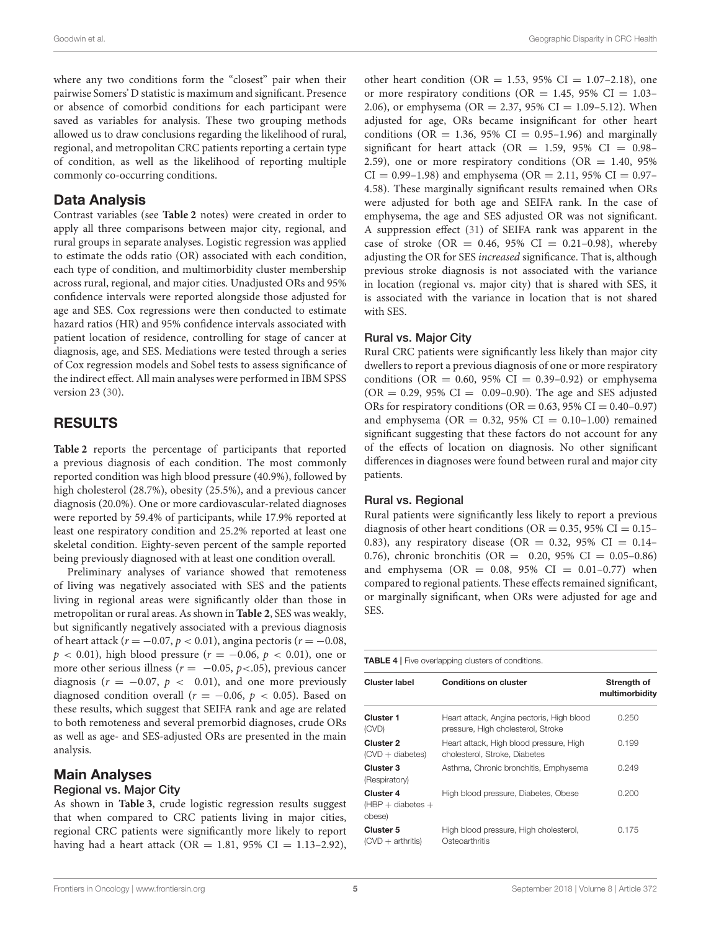where any two conditions form the "closest" pair when their pairwise Somers' D statistic is maximum and significant. Presence or absence of comorbid conditions for each participant were saved as variables for analysis. These two grouping methods allowed us to draw conclusions regarding the likelihood of rural, regional, and metropolitan CRC patients reporting a certain type of condition, as well as the likelihood of reporting multiple commonly co-occurring conditions.

#### Data Analysis

Contrast variables (see **[Table 2](#page-2-0)** notes) were created in order to apply all three comparisons between major city, regional, and rural groups in separate analyses. Logistic regression was applied to estimate the odds ratio (OR) associated with each condition, each type of condition, and multimorbidity cluster membership across rural, regional, and major cities. Unadjusted ORs and 95% confidence intervals were reported alongside those adjusted for age and SES. Cox regressions were then conducted to estimate hazard ratios (HR) and 95% confidence intervals associated with patient location of residence, controlling for stage of cancer at diagnosis, age, and SES. Mediations were tested through a series of Cox regression models and Sobel tests to assess significance of the indirect effect. All main analyses were performed in IBM SPSS version 23 [\(30\)](#page-8-27).

### RESULTS

**[Table 2](#page-2-0)** reports the percentage of participants that reported a previous diagnosis of each condition. The most commonly reported condition was high blood pressure (40.9%), followed by high cholesterol (28.7%), obesity (25.5%), and a previous cancer diagnosis (20.0%). One or more cardiovascular-related diagnoses were reported by 59.4% of participants, while 17.9% reported at least one respiratory condition and 25.2% reported at least one skeletal condition. Eighty-seven percent of the sample reported being previously diagnosed with at least one condition overall.

Preliminary analyses of variance showed that remoteness of living was negatively associated with SES and the patients living in regional areas were significantly older than those in metropolitan or rural areas. As shown in **[Table 2](#page-2-0)**, SES was weakly, but significantly negatively associated with a previous diagnosis of heart attack ( $r = -0.07$ ,  $p < 0.01$ ), angina pectoris ( $r = -0.08$ ,  $p < 0.01$ ), high blood pressure ( $r = -0.06$ ,  $p < 0.01$ ), one or more other serious illness ( $r = -0.05$ ,  $p < .05$ ), previous cancer diagnosis ( $r = -0.07$ ,  $p < 0.01$ ), and one more previously diagnosed condition overall ( $r = -0.06$ ,  $p < 0.05$ ). Based on these results, which suggest that SEIFA rank and age are related to both remoteness and several premorbid diagnoses, crude ORs as well as age- and SES-adjusted ORs are presented in the main analysis.

# Main Analyses

#### Regional vs. Major City

As shown in **[Table 3](#page-3-0)**, crude logistic regression results suggest that when compared to CRC patients living in major cities, regional CRC patients were significantly more likely to report having had a heart attack (OR = 1.81, 95% CI = 1.13-2.92), other heart condition (OR = 1.53, 95% CI = 1.07-2.18), one or more respiratory conditions ( $OR = 1.45$ , 95%  $CI = 1.03$ – 2.06), or emphysema (OR = 2.37, 95% CI = 1.09–5.12). When adjusted for age, ORs became insignificant for other heart conditions (OR = 1.36, 95% CI = 0.95-1.96) and marginally significant for heart attack (OR =  $1.59$ , 95% CI = 0.98-2.59), one or more respiratory conditions ( $OR = 1.40, 95\%$  $CI = 0.99 - 1.98$ ) and emphysema (OR = 2.11, 95% CI = 0.97– 4.58). These marginally significant results remained when ORs were adjusted for both age and SEIFA rank. In the case of emphysema, the age and SES adjusted OR was not significant. A suppression effect [\(31\)](#page-8-28) of SEIFA rank was apparent in the case of stroke (OR =  $0.46, 95\%$  CI =  $0.21-0.98$ ), whereby adjusting the OR for SES increased significance. That is, although previous stroke diagnosis is not associated with the variance in location (regional vs. major city) that is shared with SES, it is associated with the variance in location that is not shared with SES.

#### Rural vs. Major City

Rural CRC patients were significantly less likely than major city dwellers to report a previous diagnosis of one or more respiratory conditions (OR =  $0.60$ , 95% CI =  $0.39 - 0.92$ ) or emphysema  $(OR = 0.29, 95\% \text{ CI} = 0.09-0.90)$ . The age and SES adjusted ORs for respiratory conditions (OR =  $0.63$ , 95% CI =  $0.40-0.97$ ) and emphysema (OR = 0.32, 95% CI = 0.10-1.00) remained significant suggesting that these factors do not account for any of the effects of location on diagnosis. No other significant differences in diagnoses were found between rural and major city patients.

#### Rural vs. Regional

Rural patients were significantly less likely to report a previous diagnosis of other heart conditions ( $OR = 0.35$ , 95%  $CI = 0.15$ – 0.83), any respiratory disease (OR = 0.32, 95% CI = 0.14– 0.76), chronic bronchitis (OR = 0.20, 95% CI = 0.05-0.86) and emphysema (OR =  $0.08$ , 95% CI =  $0.01-0.77$ ) when compared to regional patients. These effects remained significant, or marginally significant, when ORs were adjusted for age and SES.

<span id="page-4-0"></span>TABLE 4 | Five overlapping clusters of conditions.

| Cluster label                              | <b>Conditions on cluster</b>                                                    | Strength of<br>multimorbidity |
|--------------------------------------------|---------------------------------------------------------------------------------|-------------------------------|
| Cluster 1<br>(CVD)                         | Heart attack, Angina pectoris, High blood<br>pressure, High cholesterol, Stroke | 0.250                         |
| Cluster 2<br>$(CVD + diabetes)$            | Heart attack, High blood pressure, High<br>cholesterol, Stroke, Diabetes        | 0.199                         |
| Cluster 3<br>(Respiratory)                 | Asthma, Chronic bronchitis, Emphysema                                           | 0.249                         |
| Cluster 4<br>$(HBP + diabetes +$<br>obese) | High blood pressure, Diabetes, Obese                                            | 0.200                         |
| Cluster 5<br>$(CVD + arthritis)$           | High blood pressure, High cholesterol,<br>Osteoarthritis                        | 0.175                         |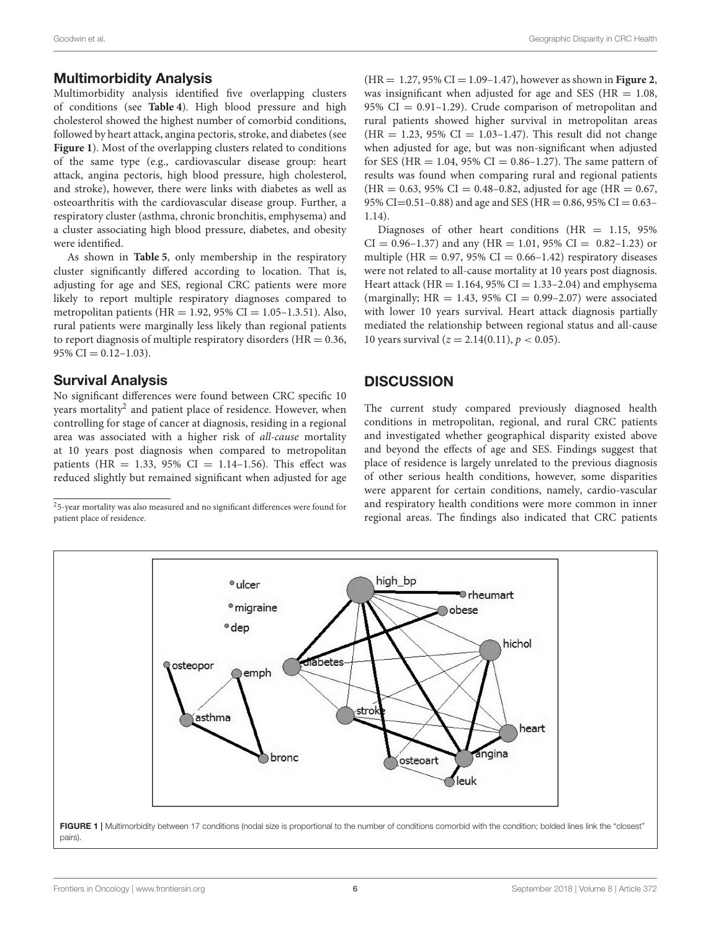#### Multimorbidity Analysis

Multimorbidity analysis identified five overlapping clusters of conditions (see **[Table 4](#page-4-0)**). High blood pressure and high cholesterol showed the highest number of comorbid conditions, followed by heart attack, angina pectoris, stroke, and diabetes (see **[Figure 1](#page-5-0)**). Most of the overlapping clusters related to conditions of the same type (e.g., cardiovascular disease group: heart attack, angina pectoris, high blood pressure, high cholesterol, and stroke), however, there were links with diabetes as well as osteoarthritis with the cardiovascular disease group. Further, a respiratory cluster (asthma, chronic bronchitis, emphysema) and a cluster associating high blood pressure, diabetes, and obesity were identified.

As shown in **[Table 5](#page-6-0)**, only membership in the respiratory cluster significantly differed according to location. That is, adjusting for age and SES, regional CRC patients were more likely to report multiple respiratory diagnoses compared to metropolitan patients (HR = 1.92, 95% CI = 1.05–1.3.51). Also, rural patients were marginally less likely than regional patients to report diagnosis of multiple respiratory disorders ( $HR = 0.36$ ,  $95\%$  CI = 0.12-1.03).

### Survival Analysis

No significant differences were found between CRC specific 10 years mortality $^2$  $^2$  and patient place of residence. However, when controlling for stage of cancer at diagnosis, residing in a regional area was associated with a higher risk of all-cause mortality at 10 years post diagnosis when compared to metropolitan patients (HR = 1.33, 95% CI = 1.14-1.56). This effect was reduced slightly but remained significant when adjusted for age

<span id="page-5-1"></span><sup>2</sup>5-year mortality was also measured and no significant differences were found for patient place of residence.

(HR = 1.27, 95% CI = 1.09–1.47), however as shown in **[Figure 2](#page-7-0)**, was insignificant when adjusted for age and SES ( $HR = 1.08$ , 95%  $CI = 0.91 - 1.29$ . Crude comparison of metropolitan and rural patients showed higher survival in metropolitan areas  $(HR = 1.23, 95\% \text{ CI} = 1.03 - 1.47)$ . This result did not change when adjusted for age, but was non-significant when adjusted for SES (HR = 1.04, 95% CI =  $0.86-1.27$ ). The same pattern of results was found when comparing rural and regional patients  $(HR = 0.63, 95\% \text{ CI} = 0.48 - 0.82, \text{ adjusted for age } (HR = 0.67,$ 95% CI=0.51-0.88) and age and SES (HR = 0.86, 95% CI = 0.63-1.14).

Diagnoses of other heart conditions (HR  $=$  1.15, 95%)  $CI = 0.96 - 1.37$  and any  $(HR = 1.01, 95\% CI = 0.82 - 1.23)$  or multiple (HR =  $0.97$ , 95% CI =  $0.66-1.42$ ) respiratory diseases were not related to all-cause mortality at 10 years post diagnosis. Heart attack (HR =  $1.164$ , 95% CI =  $1.33-2.04$ ) and emphysema (marginally;  $HR = 1.43$ , 95%  $CI = 0.99 - 2.07$ ) were associated with lower 10 years survival. Heart attack diagnosis partially mediated the relationship between regional status and all-cause 10 years survival ( $z = 2.14(0.11)$ ,  $p < 0.05$ ).

### **DISCUSSION**

The current study compared previously diagnosed health conditions in metropolitan, regional, and rural CRC patients and investigated whether geographical disparity existed above and beyond the effects of age and SES. Findings suggest that place of residence is largely unrelated to the previous diagnosis of other serious health conditions, however, some disparities were apparent for certain conditions, namely, cardio-vascular and respiratory health conditions were more common in inner regional areas. The findings also indicated that CRC patients

<span id="page-5-0"></span>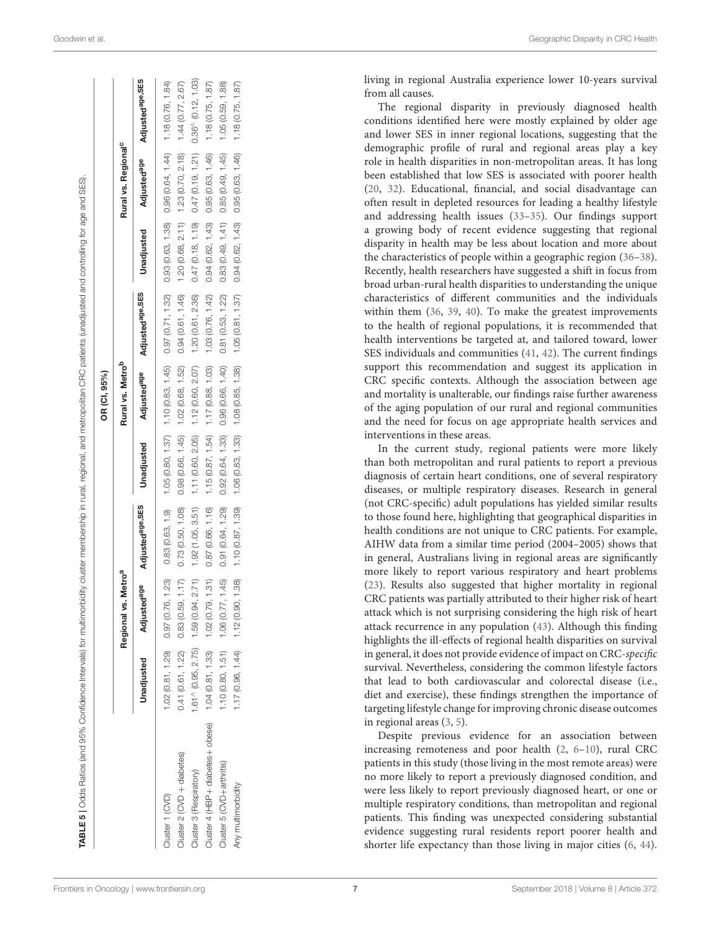living in regional Australia experience lower 10-years survival from all causes.

The regional disparity in previously diagnosed health conditions identified here were mostly explained by older age and lower SES in inner regional locations, suggesting that the demographic profile of rural and regional areas play a key role in health disparities in non-metropolitan areas. It has long been established that low SES is associated with poorer healt h [\(20](#page-8-17) , [32\)](#page-8-29). Educational, financial, and social disadvantage can often result in depleted resources for leading a healthy lifestyle and addressing health issues [\(33](#page-9-0) [–35\)](#page-9-1). Our findings support a growing body of recent evidence suggesting that regional disparity in health may be less about location and more about the characteristics of people within a geographic region [\(36](#page-9-2) [–38\)](#page-9-3). Recently, health researchers have suggested a shift in focus from broad urban-rural health disparities to understanding the unique characteristics of different communities and the individual s within them [\(36](#page-9-2), [39](#page-9-4), [40\)](#page-9-5). To make the greatest improvements to the health of regional populations, it is recommended that health interventions be targeted at, and tailored toward, lower SES individuals and communities [\(41](#page-9-6) , [42\)](#page-9-7). The current findings support this recommendation and suggest its application in CRC specific contexts. Although the association between age and mortality is unalterable, our findings raise further awareness of the aging population of our rural and regional communities and the need for focus on age appropriate health services and interventions in these areas.

In the current study, regional patients were more likely than both metropolitan and rural patients to report a previous diagnosis of certain heart conditions, one of several respiratory diseases, or multiple respiratory diseases. Research in genera l (not CRC-specific) adult populations has yielded similar results to those found here, highlighting that geographical disparities in health conditions are not unique to CRC patients. For example, AIHW data from a similar time period (2004–2005) shows that in general, Australians living in regional areas are significantly more likely to report various respiratory and heart problems [\(23\)](#page-8-20). Results also suggested that higher mortality in regional CRC patients was partially attributed to their higher risk of heart attack which is not surprising considering the high risk of heart attack recurrence in any population [\(43\)](#page-9-8). Although this finding highlights the ill-effects of regional health disparities on survival in general, it does not provide evidence of impact on CRC-specific survival. Nevertheless, considering the common lifestyle factors that lead to both cardiovascular and colorectal disease (i.e., diet and exercise), these findings strengthen the importance of targeting lifestyle change for improving chronic disease outcomes in regional areas ( [3](#page-8-30) , [5\)](#page-8-2).

<span id="page-6-0"></span>Despite previous evidence for an association between increasing remoteness and poor health ( [2](#page-8-4) , [6](#page-8-5) [–10\)](#page-8-8), rural CRC patients in this study (those living in the most remote areas) were no more likely to report a previously diagnosed condition, and were less likely to report previously diagnosed heart, or one or multiple respiratory conditions, than metropolitan and regional patients. This finding was unexpected considering substantial evidence suggesting rural residents report poorer health and shorter life expectancy than those living in major cities ( [6](#page-8-5) , [44\)](#page-9-9).

**TABLE** 5 | Octos Ratos (end Series (or multimoticly cluster membership in rural, regional and metropolism CRC patients (unadquistate and controlling for ages).<br>
Unadquistance intervals and the controlling of the controlli

| Frontiers in Oncology   www.frontiersin.org |  |
|---------------------------------------------|--|
|---------------------------------------------|--|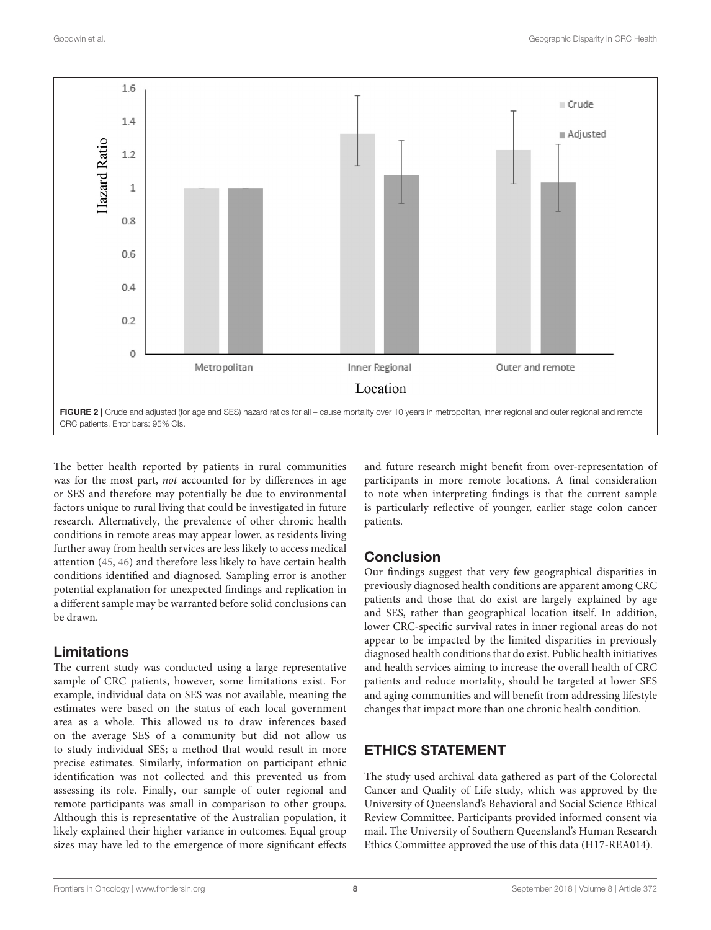

<span id="page-7-0"></span>The better health reported by patients in rural communities was for the most part, not accounted for by differences in age or SES and therefore may potentially be due to environmental factors unique to rural living that could be investigated in future research. Alternatively, the prevalence of other chronic health conditions in remote areas may appear lower, as residents living further away from health services are less likely to access medical attention [\(45,](#page-9-10) [46\)](#page-9-11) and therefore less likely to have certain health conditions identified and diagnosed. Sampling error is another potential explanation for unexpected findings and replication in a different sample may be warranted before solid conclusions can be drawn.

### Limitations

The current study was conducted using a large representative sample of CRC patients, however, some limitations exist. For example, individual data on SES was not available, meaning the estimates were based on the status of each local government area as a whole. This allowed us to draw inferences based on the average SES of a community but did not allow us to study individual SES; a method that would result in more precise estimates. Similarly, information on participant ethnic identification was not collected and this prevented us from assessing its role. Finally, our sample of outer regional and remote participants was small in comparison to other groups. Although this is representative of the Australian population, it likely explained their higher variance in outcomes. Equal group sizes may have led to the emergence of more significant effects and future research might benefit from over-representation of participants in more remote locations. A final consideration to note when interpreting findings is that the current sample is particularly reflective of younger, earlier stage colon cancer patients.

# **Conclusion**

Our findings suggest that very few geographical disparities in previously diagnosed health conditions are apparent among CRC patients and those that do exist are largely explained by age and SES, rather than geographical location itself. In addition, lower CRC-specific survival rates in inner regional areas do not appear to be impacted by the limited disparities in previously diagnosed health conditions that do exist. Public health initiatives and health services aiming to increase the overall health of CRC patients and reduce mortality, should be targeted at lower SES and aging communities and will benefit from addressing lifestyle changes that impact more than one chronic health condition.

# ETHICS STATEMENT

The study used archival data gathered as part of the Colorectal Cancer and Quality of Life study, which was approved by the University of Queensland's Behavioral and Social Science Ethical Review Committee. Participants provided informed consent via mail. The University of Southern Queensland's Human Research Ethics Committee approved the use of this data (H17-REA014).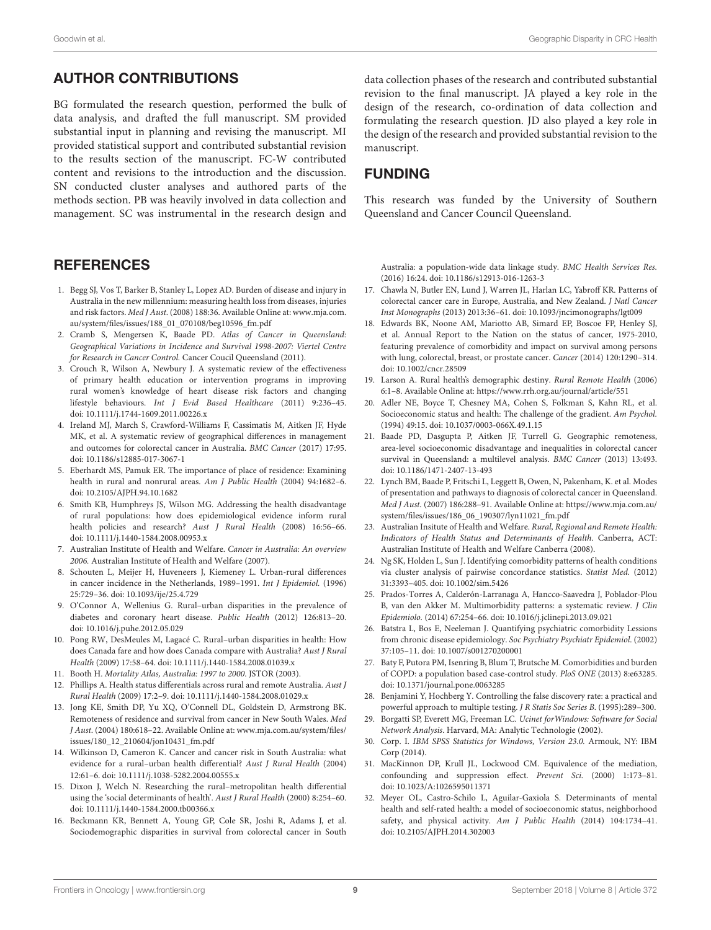### AUTHOR CONTRIBUTIONS

BG formulated the research question, performed the bulk of data analysis, and drafted the full manuscript. SM provided substantial input in planning and revising the manuscript. MI provided statistical support and contributed substantial revision to the results section of the manuscript. FC-W contributed content and revisions to the introduction and the discussion. SN conducted cluster analyses and authored parts of the methods section. PB was heavily involved in data collection and management. SC was instrumental in the research design and

### **REFERENCES**

- <span id="page-8-0"></span>1. Begg SJ, Vos T, Barker B, Stanley L, Lopez AD. Burden of disease and injury in Australia in the new millennium: measuring health loss from diseases, injuries and risk factors. Med J Aust. (2008) 188:36. Available Online at: [www.mja.com.](www.mja.com.au/system/files/issues/188_01_070108/beg10596_fm.pdf) [au/system/files/issues/188\\_01\\_070108/beg10596\\_fm.pdf](www.mja.com.au/system/files/issues/188_01_070108/beg10596_fm.pdf)
- <span id="page-8-4"></span>2. Cramb S, Mengersen K, Baade PD. Atlas of Cancer in Queensland: Geographical Variations in Incidence and Survival 1998-2007: Viertel Centre for Research in Cancer Control. Cancer Coucil Queensland (2011).
- <span id="page-8-30"></span>3. Crouch R, Wilson A, Newbury J. A systematic review of the effectiveness of primary health education or intervention programs in improving rural women's knowledge of heart disease risk factors and changing lifestyle behaviours. Int J Evid Based Healthcare (2011) 9:236–45. doi: [10.1111/j.1744-1609.2011.00226.x](https://doi.org/10.1111/j.1744-1609.2011.00226.x)
- <span id="page-8-1"></span>4. Ireland MJ, March S, Crawford-Williams F, Cassimatis M, Aitken JF, Hyde MK, et al. A systematic review of geographical differences in management and outcomes for colorectal cancer in Australia. BMC Cancer (2017) 17:95. doi: [10.1186/s12885-017-3067-1](https://doi.org/10.1186/s12885-017-3067-1)
- <span id="page-8-2"></span>5. Eberhardt MS, Pamuk ER. The importance of place of residence: Examining health in rural and nonrural areas. Am J Public Health (2004) 94:1682–6. doi: [10.2105/AJPH.94.10.1682](https://doi.org/10.2105/AJPH.94.10.1682)
- <span id="page-8-5"></span>6. Smith KB, Humphreys JS, Wilson MG. Addressing the health disadvantage of rural populations: how does epidemiological evidence inform rural health policies and research? Aust J Rural Health (2008) 16:56–66. doi: [10.1111/j.1440-1584.2008.00953.x](https://doi.org/10.1111/j.1440-1584.2008.00953.x)
- <span id="page-8-3"></span>7. Australian Institute of Health and Welfare. Cancer in Australia: An overview 2006. Australian Institute of Health and Welfare (2007).
- <span id="page-8-6"></span>8. Schouten L, Meijer H, Huveneers J, Kiemeney L. Urban-rural differences in cancer incidence in the Netherlands, 1989–1991. Int J Epidemiol. (1996) 25:729–36. doi: [10.1093/ije/25.4.729](https://doi.org/10.1093/ije/25.4.729)
- <span id="page-8-7"></span>9. O'Connor A, Wellenius G. Rural–urban disparities in the prevalence of diabetes and coronary heart disease. Public Health (2012) 126:813–20. doi: [10.1016/j.puhe.2012.05.029](https://doi.org/10.1016/j.puhe.2012.05.029)
- <span id="page-8-8"></span>10. Pong RW, DesMeules M, Lagacé C. Rural–urban disparities in health: How does Canada fare and how does Canada compare with Australia? Aust J Rural Health (2009) 17:58–64. doi: [10.1111/j.1440-1584.2008.01039.x](https://doi.org/10.1111/j.1440-1584.2008.01039.x)
- <span id="page-8-9"></span>11. Booth H. Mortality Atlas, Australia: 1997 to 2000. JSTOR (2003).
- <span id="page-8-10"></span>12. Phillips A. Health status differentials across rural and remote Australia. Aust J Rural Health (2009) 17:2–9. doi: [10.1111/j.1440-1584.2008.01029.x](https://doi.org/10.1111/j.1440-1584.2008.01029.x)
- <span id="page-8-11"></span>13. Jong KE, Smith DP, Yu XQ, O'Connell DL, Goldstein D, Armstrong BK. Remoteness of residence and survival from cancer in New South Wales. Med J Aust. (2004) 180:618–22. Available Online at: [www.mja.com.au/system/files/](www.mja.com.au/system/files/issues/180_12_210604/jon10431_fm.pdf) [issues/180\\_12\\_210604/jon10431\\_fm.pdf](www.mja.com.au/system/files/issues/180_12_210604/jon10431_fm.pdf)
- <span id="page-8-12"></span>14. Wilkinson D, Cameron K. Cancer and cancer risk in South Australia: what evidence for a rural–urban health differential? Aust J Rural Health (2004) 12:61–6. doi: [10.1111/j.1038-5282.2004.00555.x](https://doi.org/10.1111/j.1038-5282.2004.00555.x)
- <span id="page-8-13"></span>15. Dixon J, Welch N. Researching the rural–metropolitan health differential using the 'social determinants of health'. Aust J Rural Health (2000) 8:254–60. doi: [10.1111/j.1440-1584.2000.tb00366.x](https://doi.org/10.1111/j.1440-1584.2000.tb00366.x)
- <span id="page-8-14"></span>16. Beckmann KR, Bennett A, Young GP, Cole SR, Joshi R, Adams J, et al. Sociodemographic disparities in survival from colorectal cancer in South

data collection phases of the research and contributed substantial revision to the final manuscript. JA played a key role in the design of the research, co-ordination of data collection and formulating the research question. JD also played a key role in the design of the research and provided substantial revision to the manuscript.

### FUNDING

This research was funded by the University of Southern Queensland and Cancer Council Queensland.

Australia: a population-wide data linkage study. BMC Health Services Res. (2016) 16:24. doi: [10.1186/s12913-016-1263-3](https://doi.org/10.1186/s12913-016-1263-3)

- 17. Chawla N, Butler EN, Lund J, Warren JL, Harlan LC, Yabroff KR. Patterns of colorectal cancer care in Europe, Australia, and New Zealand. J Natl Cancer Inst Monographs (2013) 2013:36–61. doi: [10.1093/jncimonographs/lgt009](https://doi.org/10.1093/jncimonographs/lgt009)
- <span id="page-8-15"></span>18. Edwards BK, Noone AM, Mariotto AB, Simard EP, Boscoe FP, Henley SJ, et al. Annual Report to the Nation on the status of cancer, 1975-2010, featuring prevalence of comorbidity and impact on survival among persons with lung, colorectal, breast, or prostate cancer. Cancer (2014) 120:1290–314. doi: [10.1002/cncr.28509](https://doi.org/10.1002/cncr.28509)
- <span id="page-8-16"></span>19. Larson A. Rural health's demographic destiny. Rural Remote Health (2006) 6:1–8. Available Online at:<https://www.rrh.org.au/journal/article/551>
- <span id="page-8-17"></span>20. Adler NE, Boyce T, Chesney MA, Cohen S, Folkman S, Kahn RL, et al. Socioeconomic status and health: The challenge of the gradient. Am Psychol. (1994) 49:15. doi: [10.1037/0003-066X.49.1.15](https://doi.org/10.1037/0003-066X.49.1.15)
- <span id="page-8-18"></span>21. Baade PD, Dasgupta P, Aitken JF, Turrell G. Geographic remoteness, area-level socioeconomic disadvantage and inequalities in colorectal cancer survival in Queensland: a multilevel analysis. BMC Cancer (2013) 13:493. doi: [10.1186/1471-2407-13-493](https://doi.org/10.1186/1471-2407-13-493)
- <span id="page-8-19"></span>22. Lynch BM, Baade P, Fritschi L, Leggett B, Owen, N, Pakenham, K. et al. Modes of presentation and pathways to diagnosis of colorectal cancer in Queensland. Med J Aust. (2007) 186:288–91. Available Online at: [https://www.mja.com.au/](https://www.mja.com.au/system/files/issues/186_06_190307/lyn11021_fm.pdf) [system/files/issues/186\\_06\\_190307/lyn11021\\_fm.pdf](https://www.mja.com.au/system/files/issues/186_06_190307/lyn11021_fm.pdf)
- <span id="page-8-20"></span>23. Australian Insitute of Health and Welfare. Rural, Regional and Remote Health: Indicators of Health Status and Determinants of Health. Canberra, ACT: Australian Institute of Health and Welfare Canberra (2008).
- <span id="page-8-21"></span>24. Ng SK, Holden L, Sun J. Identifying comorbidity patterns of health conditions via cluster analysis of pairwise concordance statistics. Statist Med. (2012) 31:3393–405. doi: [10.1002/sim.5426](https://doi.org/10.1002/sim.5426)
- <span id="page-8-22"></span>25. Prados-Torres A, Calderón-Larranaga A, Hancco-Saavedra J, Poblador-Plou B, van den Akker M. Multimorbidity patterns: a systematic review. J Clin Epidemiolo. (2014) 67:254–66. doi: [10.1016/j.jclinepi.2013.09.021](https://doi.org/10.1016/j.jclinepi.2013.09.021)
- <span id="page-8-23"></span>26. Batstra L, Bos E, Neeleman J. Quantifying psychiatric comorbidity Lessions from chronic disease epidemiology. Soc Psychiatry Psychiatr Epidemiol. (2002) 37:105–11. doi: [10.1007/s001270200001](https://doi.org/10.1007/s001270200001)
- <span id="page-8-24"></span>27. Baty F, Putora PM, Isenring B, Blum T, Brutsche M. Comorbidities and burden of COPD: a population based case-control study. PloS ONE (2013) 8:e63285. doi: [10.1371/journal.pone.0063285](https://doi.org/10.1371/journal.pone.0063285)
- <span id="page-8-25"></span>28. Benjamini Y, Hochberg Y. Controlling the false discovery rate: a practical and powerful approach to multiple testing. J R Statis Soc Series B. (1995):289–300.
- <span id="page-8-26"></span>29. Borgatti SP, Everett MG, Freeman LC. Ucinet forWindows: Software for Social Network Analysis. Harvard, MA: Analytic Technologie (2002).
- <span id="page-8-27"></span>30. Corp. I. IBM SPSS Statistics for Windows, Version 23.0. Armouk, NY: IBM Corp (2014).
- <span id="page-8-28"></span>31. MacKinnon DP, Krull JL, Lockwood CM. Equivalence of the mediation, confounding and suppression effect. Prevent Sci. (2000) 1:173–81. doi: [10.1023/A:1026595011371](https://doi.org/10.1023/A:1026595011371)
- <span id="page-8-29"></span>32. Meyer OL, Castro-Schilo L, Aguilar-Gaxiola S. Determinants of mental health and self-rated health: a model of socioeconomic status, neighborhood safety, and physical activity. Am J Public Health (2014) 104:1734-41. doi: [10.2105/AJPH.2014.302003](https://doi.org/10.2105/AJPH.2014.302003)